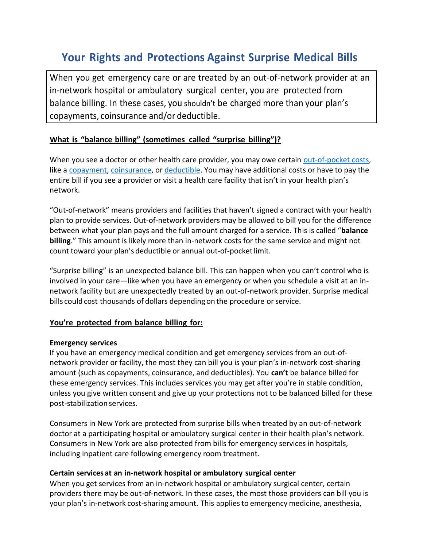# **Your Rights and Protections Against Surprise Medical Bills**

When you get emergency care or are treated by an out-of-network provider at an in-network hospital or ambulatory surgical center, you are protected from balance billing. In these cases, you shouldn't be charged more than your plan's copayments, coinsurance and/or deductible.

# **What is "balance billing" (sometimes called "surprise billing")?**

When you see a doctor or other health care provider, you may owe certain [out-of-pocket costs,](https://www.healthcare.gov/glossary/out-of-pocket-costs/) like a [copayment,](https://www.healthcare.gov/glossary/co-payment/) [coinsurance,](https://www.healthcare.gov/glossary/co-insurance/) or [deductible.](https://www.healthcare.gov/glossary/deductible/) You may have additional costs or have to pay the entire bill if you see a provider or visit a health care facility that isn't in your health plan's network.

"Out-of-network" means providers and facilities that haven't signed a contract with your health plan to provide services. Out-of-network providers may be allowed to bill you for the difference between what your plan pays and the full amount charged for a service. This is called "**balance billing**." This amount is likely more than in-network costs for the same service and might not count toward your plan's deductible or annual out-of-pocketlimit.

"Surprise billing" is an unexpected balance bill. This can happen when you can't control who is involved in your care—like when you have an emergency or when you schedule a visit at an innetwork facility but are unexpectedly treated by an out-of-network provider. Surprise medical bills could cost thousands of dollars depending on the procedure or service.

# **You're protected from balance billing for:**

#### **Emergency services**

If you have an emergency medical condition and get emergency services from an out-ofnetwork provider or facility, the most they can bill you is your plan's in-network cost-sharing amount (such as copayments, coinsurance, and deductibles). You **can't** be balance billed for these emergency services. This includes services you may get after you're in stable condition, unless you give written consent and give up your protections not to be balanced billed for these post-stabilization services.

Consumers in New York are protected from surprise bills when treated by an out-of-network doctor at a participating hospital or ambulatory surgical center in their health plan's network. Consumers in New York are also protected from bills for emergency services in hospitals, including inpatient care following emergency room treatment.

#### **Certain services at an in-network hospital or ambulatory surgical center**

When you get services from an in-network hospital or ambulatory surgical center, certain providers there may be out-of-network. In these cases, the most those providers can bill you is your plan's in-network cost-sharing amount. This appliesto emergency medicine, anesthesia,